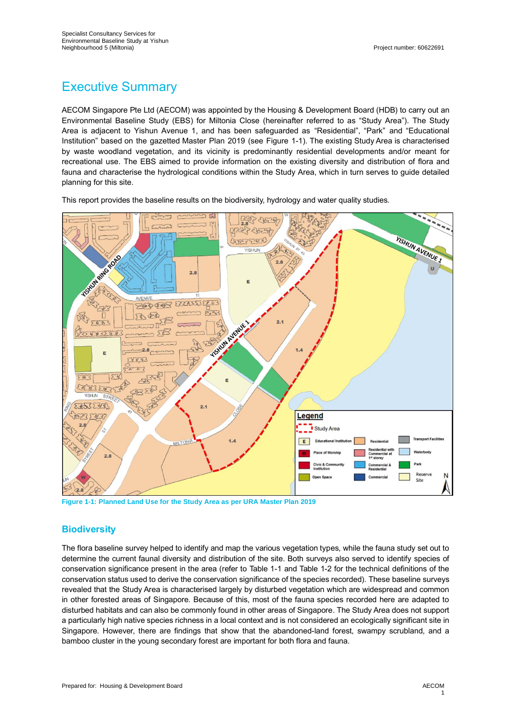# Executive Summary

AECOM Singapore Pte Ltd (AECOM) was appointed by the Housing & Development Board (HDB) to carry out an Environmental Baseline Study (EBS) for Miltonia Close (hereinafter referred to as "Study Area"). The Study Area is adjacent to Yishun Avenue 1, and has been safeguarded as "Residential", "Park" and "Educational Institution" based on the gazetted Master Plan 2019 (see Figure 1-1). The existing Study Area is characterised by waste woodland vegetation, and its vicinity is predominantly residential developments and/or meant for recreational use. The EBS aimed to provide information on the existing diversity and distribution of flora and fauna and characterise the hydrological conditions within the Study Area, which in turn serves to guide detailed planning for this site.

This report provides the baseline results on the biodiversity, hydrology and water quality studies.



**Figure 1-1: Planned Land Use for the Study Area as per URA Master Plan 2019**

### **Biodiversity**

The flora baseline survey helped to identify and map the various vegetation types, while the fauna study set out to determine the current faunal diversity and distribution of the site. Both surveys also served to identify species of conservation significance present in the area (refer to [Table 1-1](#page-1-0) an[d Table 1-2](#page-1-1) for the technical definitions of the conservation status used to derive the conservation significance of the species recorded). These baseline surveys revealed that the Study Area is characterised largely by disturbed vegetation which are widespread and common in other forested areas of Singapore. Because of this, most of the fauna species recorded here are adapted to disturbed habitats and can also be commonly found in other areas of Singapore. The Study Area does not support a particularly high native species richness in a local context and is not considered an ecologically significant site in Singapore. However, there are findings that show that the abandoned-land forest, swampy scrubland, and a bamboo cluster in the young secondary forest are important for both flora and fauna.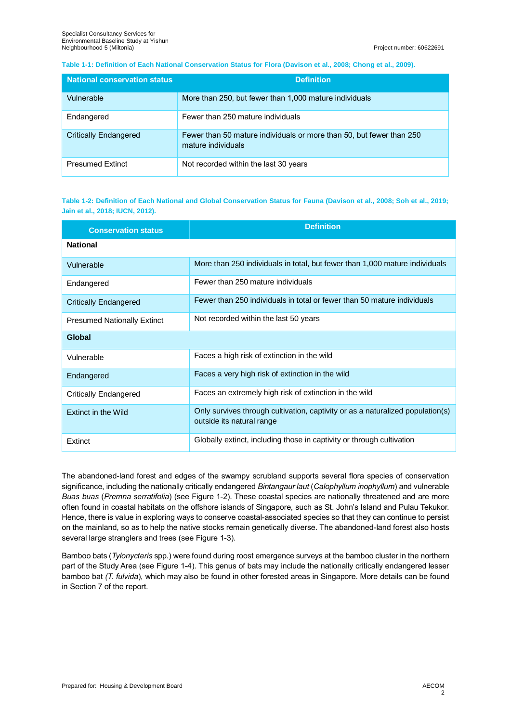#### <span id="page-1-0"></span>**Table 1-1: Definition of Each National Conservation Status for Flora (Davison et al., 2008; Chong et al., 2009).**

| <b>National conservation status</b> | <b>Definition</b>                                                                          |
|-------------------------------------|--------------------------------------------------------------------------------------------|
| Vulnerable                          | More than 250, but fewer than 1,000 mature individuals                                     |
| Endangered                          | Fewer than 250 mature individuals                                                          |
| <b>Critically Endangered</b>        | Fewer than 50 mature individuals or more than 50, but fewer than 250<br>mature individuals |
| <b>Presumed Extinct</b>             | Not recorded within the last 30 years                                                      |

<span id="page-1-1"></span>**Table 1-2: Definition of Each National and Global Conservation Status for Fauna (Davison et al., 2008; Soh et al., 2019; Jain et al., 2018; IUCN, 2012).**

| <b>Conservation status</b>         | <b>Definition</b>                                                                                           |  |
|------------------------------------|-------------------------------------------------------------------------------------------------------------|--|
| <b>National</b>                    |                                                                                                             |  |
| Vulnerable                         | More than 250 individuals in total, but fewer than 1,000 mature individuals                                 |  |
| Endangered                         | Fewer than 250 mature individuals                                                                           |  |
| <b>Critically Endangered</b>       | Fewer than 250 individuals in total or fewer than 50 mature individuals                                     |  |
| <b>Presumed Nationally Extinct</b> | Not recorded within the last 50 years                                                                       |  |
| Global                             |                                                                                                             |  |
| Vulnerable                         | Faces a high risk of extinction in the wild                                                                 |  |
| Endangered                         | Faces a very high risk of extinction in the wild                                                            |  |
| <b>Critically Endangered</b>       | Faces an extremely high risk of extinction in the wild                                                      |  |
| <b>Extinct in the Wild</b>         | Only survives through cultivation, captivity or as a naturalized population(s)<br>outside its natural range |  |
| Extinct                            | Globally extinct, including those in captivity or through cultivation                                       |  |

The abandoned-land forest and edges of the swampy scrubland supports several flora species of conservation significance, including the nationally critically endangered *Bintangaur laut* (*Calophyllum inophyllum*) and vulnerable *Buas buas* (*Premna serratifolia*) (see [Figure 1-2\)](#page-2-0). These coastal species are nationally threatened and are more often found in coastal habitats on the offshore islands of Singapore, such as St. John's Island and Pulau Tekukor. Hence, there is value in exploring ways to conserve coastal-associated species so that they can continue to persist on the mainland, so as to help the native stocks remain genetically diverse. The abandoned-land forest also hosts several large stranglers and trees (see [Figure 1-3\)](#page-2-1).

Bamboo bats (*Tylonycteris* spp*.*) were found during roost emergence surveys at the bamboo cluster in the northern part of the Study Area (see [Figure 1-4\)](#page-2-2). This genus of bats may include the nationally critically endangered lesser bamboo bat *(T. fulvida*), which may also be found in other forested areas in Singapore*.* More details can be found in Section 7 of the report.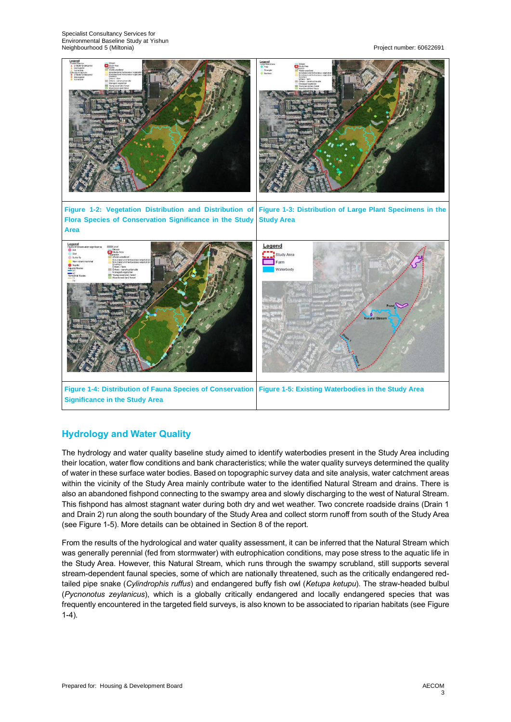<span id="page-2-1"></span>

<span id="page-2-0"></span>

# <span id="page-2-3"></span><span id="page-2-2"></span>**Hydrology and Water Quality**

The hydrology and water quality baseline study aimed to identify waterbodies present in the Study Area including their location, water flow conditions and bank characteristics; while the water quality surveys determined the quality of water in these surface water bodies. Based on topographic survey data and site analysis, water catchment areas within the vicinity of the Study Area mainly contribute water to the identified Natural Stream and drains. There is also an abandoned fishpond connecting to the swampy area and slowly discharging to the west of Natural Stream. This fishpond has almost stagnant water during both dry and wet weather. Two concrete roadside drains (Drain 1 and Drain 2) run along the south boundary of the Study Area and collect storm runoff from south of the Study Area (see [Figure 1-5\)](#page-2-3). More details can be obtained in Section 8 of the report.

From the results of the hydrological and water quality assessment, it can be inferred that the Natural Stream which was generally perennial (fed from stormwater) with eutrophication conditions, may pose stress to the aquatic life in the Study Area. However, this Natural Stream, which runs through the swampy scrubland, still supports several stream-dependent faunal species, some of which are nationally threatened, such as the critically endangered redtailed pipe snake (*Cylindrophis ruffus*) and endangered buffy fish owl (*Ketupa ketupu*). The straw-headed bulbul (*Pycnonotus zeylanicus*), which is a globally critically endangered and locally endangered species that was frequently encountered in the targeted field surveys, is also known to be associated to riparian habitats (see [Figure](#page-2-2)  [1-4\)](#page-2-2).